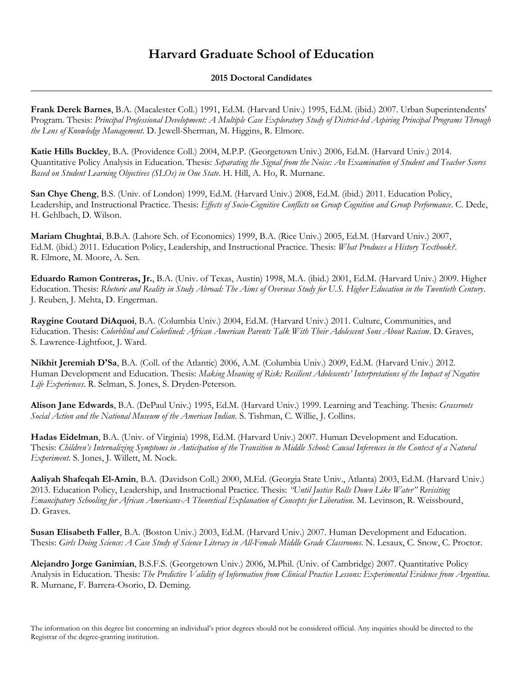## **Harvard Graduate School of Education**

## **2015 Doctoral Candidates**

**Frank Derek Barnes**, B.A. (Macalester Coll.) 1991, Ed.M. (Harvard Univ.) 1995, Ed.M. (ibid.) 2007. Urban Superintendents' Program. Thesis: *Principal Professional Development: A Multiple Case Exploratory Study of District-led Aspiring Principal Programs Through the Lens of Knowledge Management*. D. Jewell-Sherman, M. Higgins, R. Elmore.

**Katie Hills Buckley**, B.A. (Providence Coll.) 2004, M.P.P. (Georgetown Univ.) 2006, Ed.M. (Harvard Univ.) 2014. Quantitative Policy Analysis in Education. Thesis: *Separating the Signal from the Noise: An Examination of Student and Teacher Scores Based on Student Learning Objectives (SLOs) in One State*. H. Hill, A. Ho, R. Murnane.

**San Chye Cheng**, B.S. (Univ. of London) 1999, Ed.M. (Harvard Univ.) 2008, Ed.M. (ibid.) 2011. Education Policy, Leadership, and Instructional Practice. Thesis: *Effects of Socio-Cognitive Conflicts on Group Cognition and Group Performance*. C. Dede, H. Gehlbach, D. Wilson.

**Mariam Chughtai**, B.B.A. (Lahore Sch. of Economics) 1999, B.A. (Rice Univ.) 2005, Ed.M. (Harvard Univ.) 2007, Ed.M. (ibid.) 2011. Education Policy, Leadership, and Instructional Practice. Thesis: *What Produces a History Textbook?*. R. Elmore, M. Moore, A. Sen.

**Eduardo Ramon Contreras, Jr.**, B.A. (Univ. of Texas, Austin) 1998, M.A. (ibid.) 2001, Ed.M. (Harvard Univ.) 2009. Higher Education. Thesis: *Rhetoric and Reality in Study Abroad: The Aims of Overseas Study for U.S. Higher Education in the Twentieth Century*. J. Reuben, J. Mehta, D. Engerman.

**Raygine Coutard DiAquoi**, B.A. (Columbia Univ.) 2004, Ed.M. (Harvard Univ.) 2011. Culture, Communities, and Education. Thesis: *Colorblind and Colorlined: African American Parents Talk With Their Adolescent Sons About Racism*. D. Graves, S. Lawrence-Lightfoot, J. Ward.

**Nikhit Jeremiah D'Sa**, B.A. (Coll. of the Atlantic) 2006, A.M. (Columbia Univ.) 2009, Ed.M. (Harvard Univ.) 2012. Human Development and Education. Thesis: *Making Meaning of Risk: Resilient Adolescents' Interpretations of the Impact of Negative Life Experiences*. R. Selman, S. Jones, S. Dryden-Peterson.

**Alison Jane Edwards**, B.A. (DePaul Univ.) 1995, Ed.M. (Harvard Univ.) 1999. Learning and Teaching. Thesis: *Grassroots Social Action and the National Museum of the American Indian*. S. Tishman, C. Willie, J. Collins.

**Hadas Eidelman**, B.A. (Univ. of Virginia) 1998, Ed.M. (Harvard Univ.) 2007. Human Development and Education. Thesis: *Children's Internalizing Symptoms in Anticipation of the Transition to Middle School: Causal Inferences in the Context of a Natural Experiment*. S. Jones, J. Willett, M. Nock.

**Aaliyah Shafeqah El-Amin**, B.A. (Davidson Coll.) 2000, M.Ed. (Georgia State Univ., Atlanta) 2003, Ed.M. (Harvard Univ.) 2013. Education Policy, Leadership, and Instructional Practice. Thesis: *"Until Justice Rolls Down Like Water" Revisiting Emancipatory Schooling for African Americans-A Theoretical Explanation of Concepts for Liberation*. M. Levinson, R. Weissbourd, D. Graves.

**Susan Elisabeth Faller**, B.A. (Boston Univ.) 2003, Ed.M. (Harvard Univ.) 2007. Human Development and Education. Thesis: *Girls Doing Science: A Case Study of Science Literacy in All-Female Middle Grade Classrooms*. N. Lesaux, C. Snow, C. Proctor.

**Alejandro Jorge Ganimian**, B.S.F.S. (Georgetown Univ.) 2006, M.Phil. (Univ. of Cambridge) 2007. Quantitative Policy Analysis in Education. Thesis: *The Predictive Validity of Information from Clinical Practice Lessons: Experimental Evidence from Argentina*. R. Murnane, F. Barrera-Osorio, D. Deming.

The information on this degree list concerning an individual's prior degrees should not be considered official. Any inquiries should be directed to the Registrar of the degree-granting institution.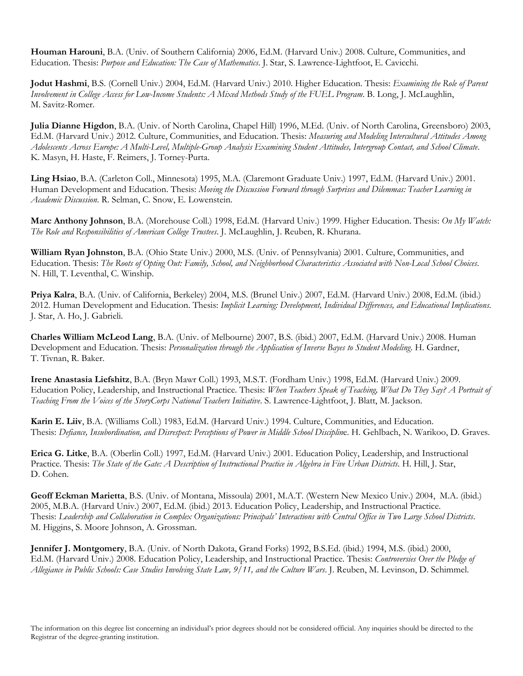**Houman Harouni**, B.A. (Univ. of Southern California) 2006, Ed.M. (Harvard Univ.) 2008. Culture, Communities, and Education. Thesis: *Purpose and Education: The Case of Mathematics*. J. Star, S. Lawrence-Lightfoot, E. Cavicchi.

**Jodut Hashmi**, B.S. (Cornell Univ.) 2004, Ed.M. (Harvard Univ.) 2010. Higher Education. Thesis: *Examining the Role of Parent Involvement in College Access for Low-Income Students: A Mixed Methods Study of the FUEL Program*. B. Long, J. McLaughlin, M. Savitz-Romer.

**Julia Dianne Higdon**, B.A. (Univ. of North Carolina, Chapel Hill) 1996, M.Ed. (Univ. of North Carolina, Greensboro) 2003, Ed.M. (Harvard Univ.) 2012. Culture, Communities, and Education. Thesis: *Measuring and Modeling Intercultural Attitudes Among Adolescents Across Europe: A Multi-Level, Multiple-Group Analysis Examining Student Attitudes, Intergroup Contact, and School Climate*. K. Masyn, H. Haste, F. Reimers, J. Torney-Purta.

**Ling Hsiao**, B.A. (Carleton Coll., Minnesota) 1995, M.A. (Claremont Graduate Univ.) 1997, Ed.M. (Harvard Univ.) 2001. Human Development and Education. Thesis: *Moving the Discussion Forward through Surprises and Dilemmas: Teacher Learning in Academic Discussion*. R. Selman, C. Snow, E. Lowenstein.

**Marc Anthony Johnson**, B.A. (Morehouse Coll.) 1998, Ed.M. (Harvard Univ.) 1999. Higher Education. Thesis: *On My Watch: The Role and Responsibilities of American College Trustees*. J. McLaughlin, J. Reuben, R. Khurana.

**William Ryan Johnston**, B.A. (Ohio State Univ.) 2000, M.S. (Univ. of Pennsylvania) 2001. Culture, Communities, and Education. Thesis: *The Roots of Opting Out: Family, School, and Neighborhood Characteristics Associated with Non-Local School Choices*. N. Hill, T. Leventhal, C. Winship.

**Priya Kalra**, B.A. (Univ. of California, Berkeley) 2004, M.S. (Brunel Univ.) 2007, Ed.M. (Harvard Univ.) 2008, Ed.M. (ibid.) 2012. Human Development and Education. Thesis: *Implicit Learning: Development, Individual Differences, and Educational Implications*. J. Star, A. Ho, J. Gabrieli.

**Charles William McLeod Lang**, B.A. (Univ. of Melbourne) 2007, B.S. (ibid.) 2007, Ed.M. (Harvard Univ.) 2008. Human Development and Education. Thesis: *Personalization through the Application of Inverse Bayes to Student Modeling*. H. Gardner, T. Tivnan, R. Baker.

**Irene Anastasia Liefshitz**, B.A. (Bryn Mawr Coll.) 1993, M.S.T. (Fordham Univ.) 1998, Ed.M. (Harvard Univ.) 2009. Education Policy, Leadership, and Instructional Practice. Thesis: *When Teachers Speak of Teaching, What Do They Say? A Portrait of Teaching From the Voices of the StoryCorps National Teachers Initiative*. S. Lawrence-Lightfoot, J. Blatt, M. Jackson.

**Karin E. Liiv**, B.A. (Williams Coll.) 1983, Ed.M. (Harvard Univ.) 1994. Culture, Communities, and Education. Thesis: *Defiance, Insubordination, and Disrespect: Perceptions of Power in Middle School Disciplin*e. H. Gehlbach, N. Warikoo, D. Graves.

**Erica G. Litke**, B.A. (Oberlin Coll.) 1997, Ed.M. (Harvard Univ.) 2001. Education Policy, Leadership, and Instructional Practice. Thesis: *The State of the Gate: A Description of Instructional Practice in Algebra in Five Urban Districts*. H. Hill, J. Star, D. Cohen.

**Geoff Eckman Marietta**, B.S. (Univ. of Montana, Missoula) 2001, M.A.T. (Western New Mexico Univ.) 2004, M.A. (ibid.) 2005, M.B.A. (Harvard Univ.) 2007, Ed.M. (ibid.) 2013. Education Policy, Leadership, and Instructional Practice. Thesis: *Leadership and Collaboration in Complex Organizations: Principals' Interactions with Central Office in Two Large School Districts*. M. Higgins, S. Moore Johnson, A. Grossman.

**Jennifer J. Montgomery**, B.A. (Univ. of North Dakota, Grand Forks) 1992, B.S.Ed. (ibid.) 1994, M.S. (ibid.) 2000, Ed.M. (Harvard Univ.) 2008. Education Policy, Leadership, and Instructional Practice. Thesis: *Controversies Over the Pledge of Allegiance in Public Schools: Case Studies Involving State Law, 9/11, and the Culture Wars*. J. Reuben, M. Levinson, D. Schimmel.

The information on this degree list concerning an individual's prior degrees should not be considered official. Any inquiries should be directed to the Registrar of the degree-granting institution.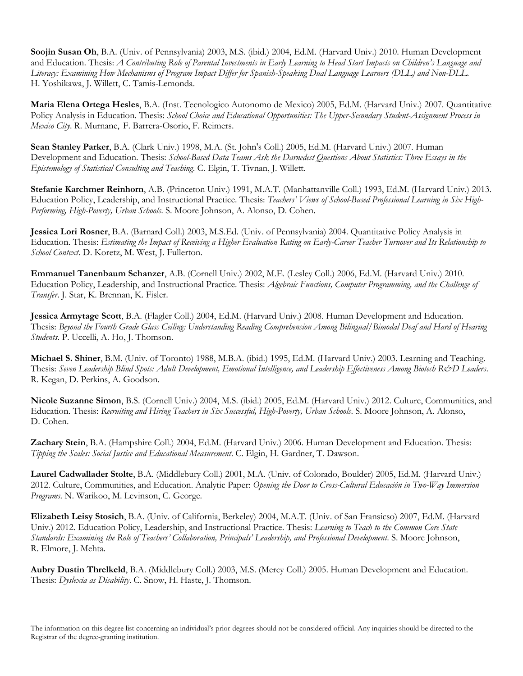**Soojin Susan Oh**, B.A. (Univ. of Pennsylvania) 2003, M.S. (ibid.) 2004, Ed.M. (Harvard Univ.) 2010. Human Development and Education. Thesis: *A Contributing Role of Parental Investments in Early Learning to Head Start Impacts on Children's Language and Literacy: Examining How Mechanisms of Program Impact Differ for Spanish-Speaking Dual Language Learners (DLL) and Non-DLL*. H. Yoshikawa, J. Willett, C. Tamis-Lemonda.

**Maria Elena Ortega Hesles**, B.A. (Inst. Tecnologico Autonomo de Mexico) 2005, Ed.M. (Harvard Univ.) 2007. Quantitative Policy Analysis in Education. Thesis: *School Choice and Educational Opportunities: The Upper-Secondary Student-Assignment Process in Mexico City*. R. Murnane, F. Barrera-Osorio, F. Reimers.

**Sean Stanley Parker**, B.A. (Clark Univ.) 1998, M.A. (St. John's Coll.) 2005, Ed.M. (Harvard Univ.) 2007. Human Development and Education. Thesis: *School-Based Data Teams Ask the Darnedest Questions About Statistics: Three Essays in the Epistemology of Statistical Consulting and Teaching*. C. Elgin, T. Tivnan, J. Willett.

**Stefanie Karchmer Reinhorn**, A.B. (Princeton Univ.) 1991, M.A.T. (Manhattanville Coll.) 1993, Ed.M. (Harvard Univ.) 2013. Education Policy, Leadership, and Instructional Practice. Thesis: *Teachers' Views of School-Based Professional Learning in Six High-Performing, High-Poverty, Urban Schools*. S. Moore Johnson, A. Alonso, D. Cohen.

**Jessica Lori Rosner**, B.A. (Barnard Coll.) 2003, M.S.Ed. (Univ. of Pennsylvania) 2004. Quantitative Policy Analysis in Education. Thesis: *Estimating the Impact of Receiving a Higher Evaluation Rating on Early-Career Teacher Turnover and Its Relationship to School Context*. D. Koretz, M. West, J. Fullerton.

**Emmanuel Tanenbaum Schanzer**, A.B. (Cornell Univ.) 2002, M.E. (Lesley Coll.) 2006, Ed.M. (Harvard Univ.) 2010. Education Policy, Leadership, and Instructional Practice. Thesis: *Algebraic Functions, Computer Programming, and the Challenge of Transfer*. J. Star, K. Brennan, K. Fisler.

**Jessica Armytage Scott**, B.A. (Flagler Coll.) 2004, Ed.M. (Harvard Univ.) 2008. Human Development and Education. Thesis: *Beyond the Fourth Grade Glass Ceiling: Understanding Reading Comprehension Among Bilingual/Bimodal Deaf and Hard of Hearing Students*. P. Uccelli, A. Ho, J. Thomson.

**Michael S. Shiner**, B.M. (Univ. of Toronto) 1988, M.B.A. (ibid.) 1995, Ed.M. (Harvard Univ.) 2003. Learning and Teaching. Thesis: *Seven Leadership Blind Spots: Adult Development, Emotional Intelligence, and Leadership Effectiveness Among Biotech R&D Leaders*. R. Kegan, D. Perkins, A. Goodson.

**Nicole Suzanne Simon**, B.S. (Cornell Univ.) 2004, M.S. (ibid.) 2005, Ed.M. (Harvard Univ.) 2012. Culture, Communities, and Education. Thesis: *Recruiting and Hiring Teachers in Six Successful, High-Poverty, Urban Schools*. S. Moore Johnson, A. Alonso, D. Cohen.

**Zachary Stein**, B.A. (Hampshire Coll.) 2004, Ed.M. (Harvard Univ.) 2006. Human Development and Education. Thesis: *Tipping the Scales: Social Justice and Educational Measurement*. C. Elgin, H. Gardner, T. Dawson.

**Laurel Cadwallader Stolte**, B.A. (Middlebury Coll.) 2001, M.A. (Univ. of Colorado, Boulder) 2005, Ed.M. (Harvard Univ.) 2012. Culture, Communities, and Education. Analytic Paper: *Opening the Door to Cross-Cultural Educación in Two-Way Immersion Programs*. N. Warikoo, M. Levinson, C. George.

**Elizabeth Leisy Stosich**, B.A. (Univ. of California, Berkeley) 2004, M.A.T. (Univ. of San Fransicso) 2007, Ed.M. (Harvard Univ.) 2012. Education Policy, Leadership, and Instructional Practice. Thesis: *Learning to Teach to the Common Core State Standards: Examining the Role of Teachers' Collaboration, Principals' Leadership, and Professional Development*. S. Moore Johnson, R. Elmore, J. Mehta.

**Aubry Dustin Threlkeld**, B.A. (Middlebury Coll.) 2003, M.S. (Mercy Coll.) 2005. Human Development and Education. Thesis: *Dyslexia as Disability*. C. Snow, H. Haste, J. Thomson.